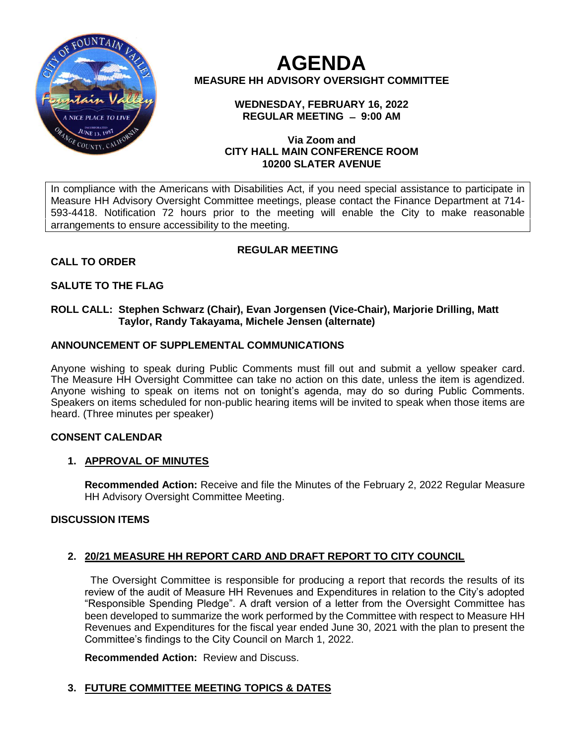

**AGENDA MEASURE HH ADVISORY OVERSIGHT COMMITTEE**

> **WEDNESDAY, FEBRUARY 16, 2022 REGULAR MEETING ̶ 9:00 AM**

### **Via Zoom and CITY HALL MAIN CONFERENCE ROOM 10200 SLATER AVENUE**

In compliance with the Americans with Disabilities Act, if you need special assistance to participate in Measure HH Advisory Oversight Committee meetings, please contact the Finance Department at 714- 593-4418. Notification 72 hours prior to the meeting will enable the City to make reasonable arrangements to ensure accessibility to the meeting.

# **CALL TO ORDER**

# **REGULAR MEETING**

# **SALUTE TO THE FLAG**

### **ROLL CALL: Stephen Schwarz (Chair), Evan Jorgensen (Vice-Chair), Marjorie Drilling, Matt Taylor, Randy Takayama, Michele Jensen (alternate)**

### **ANNOUNCEMENT OF SUPPLEMENTAL COMMUNICATIONS**

Anyone wishing to speak during Public Comments must fill out and submit a yellow speaker card. The Measure HH Oversight Committee can take no action on this date, unless the item is agendized. Anyone wishing to speak on items not on tonight's agenda, may do so during Public Comments. Speakers on items scheduled for non-public hearing items will be invited to speak when those items are heard. (Three minutes per speaker)

### **CONSENT CALENDAR**

# **1. APPROVAL OF MINUTES**

**Recommended Action:** Receive and file the Minutes of the February 2, 2022 Regular Measure HH Advisory Oversight Committee Meeting.

### **DISCUSSION ITEMS**

# **2. 20/21 MEASURE HH REPORT CARD AND DRAFT REPORT TO CITY COUNCIL**

 The Oversight Committee is responsible for producing a report that records the results of its review of the audit of Measure HH Revenues and Expenditures in relation to the City's adopted "Responsible Spending Pledge". A draft version of a letter from the Oversight Committee has been developed to summarize the work performed by the Committee with respect to Measure HH Revenues and Expenditures for the fiscal year ended June 30, 2021 with the plan to present the Committee's findings to the City Council on March 1, 2022.

**Recommended Action:** Review and Discuss.

# **3. FUTURE COMMITTEE MEETING TOPICS & DATES**